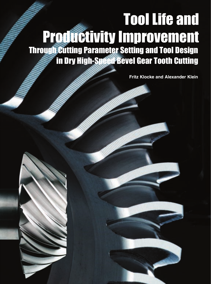# Through Cutting Parameter Setting and Tool Design in Dry High-Speed Bevel Gear Tooth Cutting Tool Life and Productivity Improvement

**Fritz Klocke and Alexander Klein**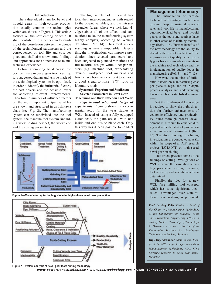## **Introduction**

The value-added chain for bevel and hypoid gears in high-volume production usually contains the technologies which are shown in Figure 1. This article focuses on the soft cutting of teeth. It shall contribute to a deeper understanding of the correlation between the choice of the technological parameters and the consequences on tool life and cost per piece and shall also show some findings and approaches for an increase of manufacturing excellence.

Before attempting to decrease the cost per piece in bevel gear tooth cutting, it is suggested that an analysis be made of the technological system to be optimized, in order to identify the influential factors, the cost drivers and the possible levers for achieving relevant improvements. Therefore, a number of influence factors on the most important output variables are shown and structured in an Ishikawa chart (see Fig. 2). The manufacturing system can be subdivided into the tool system, the machine tool system (including work holding device), the workpiece and the cutting parameters.

The high number of influential factors, their interdependencies with regard to the output variables, and the intransparencies (areas where we lack knowledge) about all of the effects and correlations make the manufacturing system highly complex, according to Wöhe's definition (Ref. 14). Thus total understanding is nearly impossible. Despite this, the investigations can improve production, since selected parameters have been subjected to planned variations and full-factorial designs while other parameters (e.g. machine tool, workholding devices, workpiece, tool material and batch) have been kept constant to achieve a good signal-to-noise (S/N) ratio in laboratory trials.

# **Systematic Experimental Studies on Selected Parameters in Bevel Gear Machining and their Effect on Tool Wear**

*Experimental setup and design of experiments*. Figure 3 shows the experimental setup for the wear studies at WZL. Instead of using a fully equipped cutter head, the parts are cut with one inside and one ouside blade each. Only this way has it been possible to conduct







**Figure 2—System analysis of bevel gear tooth cutting technology. www.powertransmission.com • www.geartechnology.com • GEAR TECHNOLOGY •** MAY/JUNE 2006 **41**

# **Management Summary**

The introduction of carbide tools and hard coatings has led to a quantum leap in material removal rates and tool life in manufacturing automotive-sized bevel and hypoid gears, as the tools and coatings have in other areas of machining technology (Refs. 1–6). Further benefits of the new techology are the ability to abandon the use of coolant and the improvement of quality, which partly goes back also to advancements in the machine tool technology and the implementation of quality loops in manufacturing (Ref. 3–4 and 7–13).

However, the number of influential factors on manufacturing cost per piece is high, and an in-depth process analysis and understanding has not yet been established in many areas.

Yet this fundamental knowledge is required to show the right direction for further enhancements of economic efficiency and productivity, since thorough process development is difficult to conduct during and after the start of production in an industrial environment (Ref. 13). Therefore, thorough machining investigations are conducted at WZL within the scope of an AiF research project (13713 N/1) on high speed bevel gear machining.

This article presents some of the findings of cutting investigations at WZL in which the correlation of cutting parameters, cutting materials, tool geometry and tool life have been determined.

Finally, the idea for a new WZL face milling tool concept, which has some significant theoretical advantages over state-ofthe-art tool systems, is presented.

**Prof. Dr.-Ing. Fritz Klocke** *is head of the Chair of Manufacturing Technology at the Laboratory for Machine Tools and Production Engineering (WZL), a part of Aachen University of Technology in Germany. Also, he is director of the Fraunhofer Institute for Production Technology in Aachen, Germany.*

**Dipl.-Ing. Alexander Klein** *is team leader of the WZL research department Gear Manufacturing Technology. Also, Klein performs research in bevel gear manufacturing.*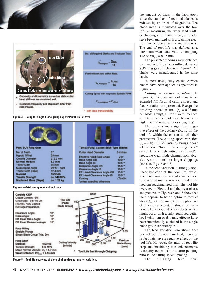



**Figure 3—Setup for single blade group experimental trial at WZL.**



#### **Figure 4—Trial workpiece and tool data.**



**Figure 5—Tool life overview of the global cutting parameter variation.**

the amount of trials in the laboratory, since the number of required blanks is reduced by an order of magnitude. The blade wear is monitored over the tool life by measuring the wear land width or chipping size. Furthermore, all blades have been analyzed with a scanning electron microscope after the end of a trial. The end of tool life was defined as a maximum wear land width or chipping size of  $VB_{max} = 0.15$  mm.

The presented findings were obtained by manufacturing a face-milling designed SUV ring gear, as shown in Figure 4. All blanks were manufactured in the same batch.

In most trials, fully coated carbide blades have been applied as specified in Figure 4.

*Cutting parameter variation*. In Figure 5, the obtained tool lives in an extended full-factorial cutting speed and feed variation are presented. Except the finishing operation trial  $(f_{BG} = 0.03 \text{ mm})$ per blade group), all trials were intended to determine the tool wear behavior at high material removal rates (roughing).

The results show a significant negative effect of the cutting velocity on the tool life within the chosen set of other parameters. The cutting speed variation  $(v_c = 280; 330; 380 \text{ m/min})$  brings about a left-curved "tool life vs. cutting speed" curve. At very high cutting speeds and/or feeds, the wear mode changes from abrasive wear to small or larger chippings (see also Figs. 6 and 7).

In the feed variation, a strongly nonlinear behavior of the tool life, which would not have been revealed in the mere full-factorial matrix, was identified in the medium roughing feed trial. The tool life overview in Figure 5 and the wear charts and pictures in Figures 6 and 7 show that there appears to be an optimum feed at about  $f_{BG} = 0.15$  mm (at the applied set of other parameters). It should be mentioned, however, that other effects, which might occur with a fully equipped cutter head (chip jam or dynamic effects) have been intentionally excluded in the single blade group laboratory trial.

The feed variation also shows that beyond tool life optimum feed, increases in feed rate have a negative effect on the tool life. However, the ratio of tool life drop and machining rate enhancements is notably better than the corresponding ratio in the cutting speed uprating.

The finishing feed trial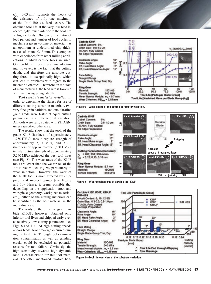$(f_{BG} = 0.03$  mm) supports the theory of the existence of only one maximum of the "tool life vs. feed" curve. The obtained tool life at the very low feed is, accordingly, much inferior to the tool life at higher feeds. Obviously, the ratio of load per cut and number of load cycles to machine a given volume of material has an optimum at undeformed chip thicknesses of around 0.15 mm. This complies with experience from other milling applications in which carbide tools are used. One problem in bevel gear manufacturing, however, is the fact that the cutting depth, and therefore the absolute cutting force, is exceptionally high, which can lead to problems with regard to the machine dynamics. Therefore, in the state of manufacturing, the feed rate is lowered with increasing plunge depth.

*Tool substrate material variation*. In order to determine the fitness for use of different cutting substrate materials, two very fine grain carbides and one ultrafine grain grade were tested at equal cutting parameters in a full-factorial variation. All tools were fully coated with (Ti,Al)N, unless specified otherwise.

The results show that the tools of the grade K10F (hardness of approximately 1,750 HV30, tensile rupture strength of approximately 3,100 MPa) and K30F (hardness of approximately 1,550 HV30, tensile rupture strength of approximately 3,240 MPa) achieved the best tool lives (see Fig. 8). The wear rates of the K10F tools are lower than the wear rates of the K30F blades (see Fig. 9), particularly at wear initiation. However, the wear of the K10F tool is more affected by chippings and microchippings (see Figs. 8 and 10). Hence, it seems possible that depending on the application (tool and workpiece geometry, workpiece material, etc.), either of the cutting materials can be identified as the best material in the individual case.

The tools of the ultrafine grain carbide K10UF, however, obtained only inferior tool lives and chipped early even at relatively low cutting parameters (see Figs. 8 and 11). At high cutting speeds and/or feeds, tool breakage occurred during the first cuts. Through tool examination, contamination as well as grinding cracks could be excluded as potential reasons for tool failure. Obviously, the high sensitivity towards high dynamic load is characteristic for this tool material. The often mentioned twofold ben-











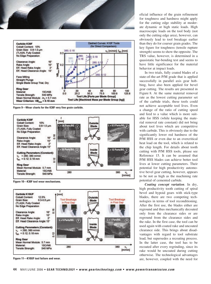



**Figure 9—Wear charts for the K30F very fine grain carbide.**



**Figure 10—K30F tool wear mechanisms.**



**Figure 11—K10UF tool failure and wear.**

eficial influence of the grain refinement for toughness and hardness might apply for the cutting edge stability at moderate dynamic or high static loads. High macroscopic loads on the tool body (not only the cutting edge area), however, can obviously lead to tool breakage earlier than they do for coarser grain grades. The key figure for toughness (tensile rupture strength) seems to show the opposite. The TRS value, however, is determined in a quasistatic bar-bending test and seems to have little significance for the material behavior at impact loads.

In two trials, fully coated blades of a state-of-the-art P/M grade that is applied successfully in parallel axis gear hobbing, have also been applied for bevel gear cutting. The results are presented in Figure 8. At the same material removal rate as the lowest cutting parameter set of the carbide trials, these tools could not achieve acceptable tool lives. Even a change of the ratio of cutting speed and feed to a value which is more suitable for HSS (while keeping the material removal rate constant) did not bring about tool lives which are competitive with carbide. This is obviously due to the significantly lower red hardness of the P/M HSS or even due to an overcritical heat load on the tool, which is related to the chip length. For details about tooth cutting with P/M HSS tools, please see Reference 15. It can be assumed that P/M HSS blades can achieve better tool lives at lower cutting parameters. Their potential for high productivity automotive bevel gear cutting, however, appears to be not as high as the machining rate potential of cemented carbide.

*Coating concept variation*. In dry, high productivity tooth cutting of spiral bevel and hypoid gears with stick-type blades, there are two competing technologies in terms of tool reconditioning. After the first use, the blades either are reground and thus mechanically decoated only from the clearance sides or are reground from the clearance sides and the rake. In the first case, the tool can be used again with coated rake and uncoated clearance side. This brings about disadvantages with regard to tool substrate load, but supersedes a recoating process. In the latter case, the tool has to be recoated after every regrinding, since its rake would be uncoated during cutting otherwise. The technological advantages are, however, coupled with the need for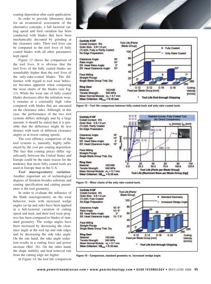coating deposition after each application.

In order to provide laboratory data for an economical assessment of the alternative concepts, a full factorial cutting speed and feed variation has been conducted with blades that have been mechanically decoated by grinding at the clearance sides. Their tool lives can be compared to the tool lives of fully coated blades with all other parameters kept equal.

Figure 12 shows the comparison of the tool lives. It is obvious that the tool lives of the fully coated blades are remarkably higher than the tool lives of the only-rake-coated blades. The difference with regard to tool wear behavior becomes apparent when comparing the wear charts of the blades (see Fig. 13). While the wear rate of fully coated blades decreases after the initiation wear, it remains at a constantly high value compared with blades that are uncoated on the clearance sides. Although, in this case, the performance of the two tool systems differs strikingly and by a large amount, it should be stated that it is possible that the difference might be less distinct with tools of different clearance angles or at lower cutting speeds.

The cost effiency comparison of the tool systems is, naturally, highly influenced by the cost per coating deposition. The fact that coating prices differ significantly between the United States and Europe could be the main reason for the tendency that more fully coated tools are used in Europe than in the U.S.

*Tool macrogeometry variation*. Another important set of technological degrees of freedom besides substrate and coating specification and cutting parameters is the tool geometry.

In order to evaluate the influence of the blade macrogeometry on the wear behavior, tools with increased wedge angles (at tip and side) have been applied in a full-factorial variation of cutting speed and feed, and their tool wear progress has been compared to blades of standard geometry. The wedge angles have been increased by decreasing the clearance angle at the tool tip and side edges and by decreasing the side rake angle. On the one hand, the rake angle reduction results in a cutting force and power increase (Ref. 16). On the other hand, the shape stability and heat removal rate from the cutting edge are higher.

In Figure 14, the tool life comparison





**Figure 12—Tool life comparison between fully coated tools and only-rake-coated tools.**





**Figure 13—Wear charts of the only-rake-coated tools.**

**Figure 14—Comparison, standard geometry vs. increased wedge angle.**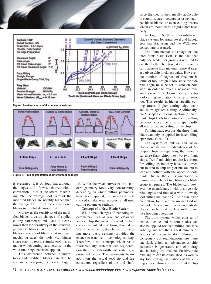



**Figure 15—Wear charts of the geometry variation.**



**Figure 16—Cut segmentation of different tool concepts.**

is presented. It is obvious that although the longest tool life was achieved with a conventional tool at the lowest machining rate, the average tool lives of the modified blades are notably higher than the average tool life of the conventional blades in this full-factorial trial.

Moreover, the sensitivity of the modified blades towards changes of applied cutting parameters and loads is clearly lower than the sensitivity of the standardgeometry blades. While the standard blades show a tool life drop at increased machining rates, the tools with higher shape stability reach a similar tool life, no matter which cutting parameter set in the wide trial range has been applied.

This difference between standard tools and modified blades can also be seen in the wear progress curves in Figure

15. While the wear curves of the standard geometry tools vary considerably, depending on which cutting parameters have been applied, the modified tools showed similar wear progress at all used cutting parameter settings.

#### **Concept of a New Blade System**

While small changes of technological parameters, such as rake and clearance angles, chip thickness or carbide cobalt content are intended to bring about steplike improvements, the choice of changing more basic settings provides the chance to establish a technological leap. Therefore, a tool concept, which has a fundamentally different cut segmentation than the state-of-the-art systems, is presented below. The statements below apply on the actual tool tip and are considered regardless of the tool shaft,

since the idea is theoretically applicable to round, square, rectangular or pentagonal blade blanks or even cutting inserts which are mounted to a rigid cutter head body.

In Figure 16, three state-of-the-art blade systems for spiral bevel and hypoid gear manufacturing and the WZL tool concept are presented.

The fundamental advantage of the three-flank blade (left) is the fact that only one blade (per group) is required to cut the teeth. Therefore, it can theoretically achieve high material removal rates at a given chip thickness value. However, the number of degrees of freedom in terms of tool design is low since the side rake angle must be set to zero on both sides in order to avoid a negative rake angle on one side. Consequently, the tip tool cutting inclination  $\lambda$ <sub>s</sub> is set to zero, too. This results in higher specific cutting forces (higher cutting edge load) and more agitated cutting. Additionally, the V-shaped chip cross-section (a threeflank chip) leads to a critical chip rolling behavior since the chip shape hardly allows for decent coiling of the chip.

For kinematic reasons, the three-flank blade can only be applied for face milling operations (Ref. 17).

The system of outside and inside blades avoids the disadvantages of Vshaped chips by separating the theoretical three-flank chips into two two-flank chips. Two-flank chips require less room for coiling up, but they have also turned out to tend to chip drag or buckle and to tear and collide with the opposite tooth flank. Due to the cut segmentation, a minimum number of two blades per blade group is required. The blades can, however, be manufactured with positive side rake angles and thus also with a low tip tool cutting inclination  $\lambda_s$ . Both can lower the cutting force and the impact load on the tool. The system of inside and outside blades can be used for face milling and face hobbing operations.

The third system, which consists of inside, outside and bottom blades can also be applied for face milling and face hobbing and has the highest number of degrees of design freedom. Through a consequent cut segmentation into mere one-flank chips, an advantageous chip collective is generated, and chip drag and buckling are avoided. Positive side rake angles can be established, as well as any tool cutting inclinations at the cutting edges. However, the extended chip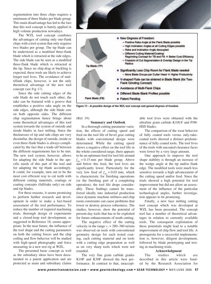segmentation into three chips requires a minimum of three blades per blade group. This main disadvantage has led to the fact that this tool concept is barely applied in high volume production nowadays.

The WZL tool concept combines the advantages of cutting only one-flank chips with a tool system that only requires two blades per group. The tip blade can be understood as a modified three-flank blade which is retracted at the side edges. The side blade can be seen as a modified three-flank blade which is retracted at the tip. Since no chip drag or buckling is expected, these tools are likely to achieve longer tool lives. The avoidance of multiflank chips, however, is not the only theoretical advantage of the new tool concept (see Fig 17).

Since the side cutting edges of the side blade do not touch each other, the rake can be featured with a groove that establishes a positive rake angle on the side edges, although the side blade cuts on both opposite sides. The different chip segmentation hence brings about some theoretical advantages of this tool system towards the system of outside and inside blades in face milling. Since the thicknesses of tip and side chips are very dissimilar, the design of outside, inside or even three-flank blades is always complicated by the fact that a trade-off between the different requirements has to be met. The new tool system, however, allows for adapting the side blade to the specific needs of this part of the tool and for adapting the tip blade accordingly. It could, for example, turn out to be the most cost efficient way to cut teeth with different cutting materials, coatings or coating concepts (full/rake only) on side and tip blades.

For these reasons, it seems promising to perform further research and development in order to make a fact-based assessment of the tool performance. To reduce the number of required machining trials, thorough design of experiments and a closed-loop tool development, as suggested in Reference 18, seems appropriate. In the near future, the influence of the tool shape and the cutting parameters on both the cutting forces and the chip coiling and flow behavior will be studied with high-speed photography and force measuring in a new test rig at WZL.

The presented basic concept as well as the subsidiary ideas have been documented in a patent application and are protected as main and subsidiary claims





**Figure 17—A possible design of the WZL tool concept and gained degrees of freedom.**

(Ref. 19).

#### **Summary and Outlook**

In a thorough cutting parameter variation, the effects of cutting speed and feed on the tool life of bevel gear cutting blades with conventional design were determined. While the cutting speed shows a negative effect on the tool life in the whole considered range, there appears to be an optimum feed for tool life around  $f_{BG} = 0.15$  mm per blade group. Above and below this feed, the tool lives are significantly lower. Particularly for the very low feed of  $f_{BG} = 0.03$  mm, which is characteristic for finishing operations (or the finishing part of a completing operation), the tool life drops considerably. These findings cannot be transferred ideally into industrial production since dynamic machine stiffness and chip room constraints can cause problems that lower or destroy process robustness. The studies, however, show the potential of present-day tools that has to be exploited for future enhancements of tooth cutting.

The negative effect of the cutting velocity in the range  $v_c = 280 - 380$  m/min was observed on tools with conventional geometry design for each tested coating, each cutting material and on tools with a cutting edge preparation as well as on very sharp tools which were not rounded.

The very fine grain carbide grades K10F and K30F showed the best performance. In contrast to that, unacceptable tool lives were obtained with the ultrafine grain carbide K10UF and P/M-HSS blades.

The comparison of the wear behavior of fully coated tools versus only-rakecoated tools showed a distinct predominance of fully coated tools. The tool lives of the tools with uncoated clearance faces were lower by a very large amount.

One approach to improve the tool shape stability is through an increase of the wedge angle at the tip and/or flank edge. The modified tools were much less sensitive towards a high advancement of the cutting speed and/or feed. Since the trials showed a high potential for tool improvement but did not allow an assessment of the influence of the particular technological angles, further investigation appears to be promising.

Finally, a new face milling cutting tool concept which was developed at WZL has been presented. The concept tool has a number of theoretical advantages in relation to currently available tools. The consequent exploitation of these potentials might lead to a notable improvement of chip flow and tool life. A prerequisite for a successful implementation is, however, diligent development, followed by blade prototyping and testing in machining trials.

# **Acknowledgment**

The studies which are described in this article were funded by the Research Association for